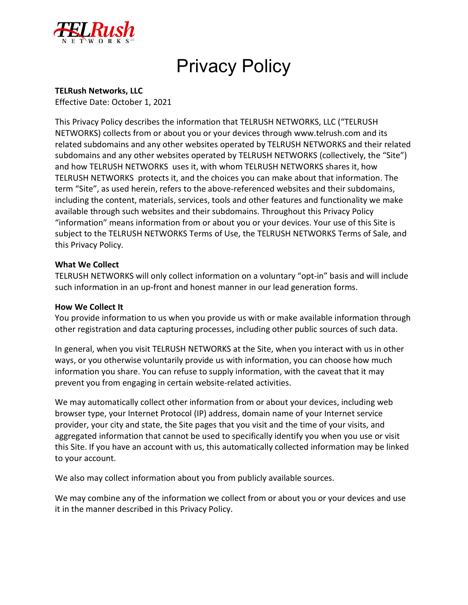

# Privacy Policy

## **TELRush Networks, LLC**

Effective Date: October 1, 2021

This Privacy Policy describes the information that TELRUSH NETWORKS, LLC ("TELRUSH NETWORKS) collects from or about you or your devices through www.telrush.com and its related subdomains and any other websites operated by TELRUSH NETWORKS and their related subdomains and any other websites operated by TELRUSH NETWORKS (collectively, the "Site") and how TELRUSH NETWORKS uses it, with whom TELRUSH NETWORKS shares it, how TELRUSH NETWORKS protects it, and the choices you can make about that information. The term "Site", as used herein, refers to the above-referenced websites and their subdomains, including the content, materials, services, tools and other features and functionality we make available through such websites and their subdomains. Throughout this Privacy Policy "information" means information from or about you or your devices. Your use of this Site is subject to the TELRUSH NETWORKS Terms of Use, the TELRUSH NETWORKS Terms of Sale, and this Privacy Policy.

#### **What We Collect**

TELRUSH NETWORKS will only collect information on a voluntary "opt-in" basis and will include such information in an up-front and honest manner in our lead generation forms.

#### **How We Collect It**

You provide information to us when you provide us with or make available information through other registration and data capturing processes, including other public sources of such data.

In general, when you visit TELRUSH NETWORKS at the Site, when you interact with us in other ways, or you otherwise voluntarily provide us with information, you can choose how much information you share. You can refuse to supply information, with the caveat that it may prevent you from engaging in certain website-related activities.

We may automatically collect other information from or about your devices, including web browser type, your Internet Protocol (IP) address, domain name of your Internet service provider, your city and state, the Site pages that you visit and the time of your visits, and aggregated information that cannot be used to specifically identify you when you use or visit this Site. If you have an account with us, this automatically collected information may be linked to your account.

We also may collect information about you from publicly available sources.

We may combine any of the information we collect from or about you or your devices and use it in the manner described in this Privacy Policy.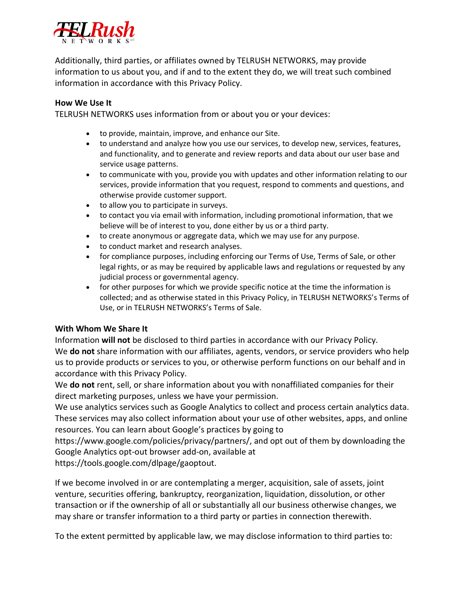

Additionally, third parties, or affiliates owned by TELRUSH NETWORKS, may provide information to us about you, and if and to the extent they do, we will treat such combined information in accordance with this Privacy Policy.

#### **How We Use It**

TELRUSH NETWORKS uses information from or about you or your devices:

- to provide, maintain, improve, and enhance our Site.
- to understand and analyze how you use our services, to develop new, services, features, and functionality, and to generate and review reports and data about our user base and service usage patterns.
- to communicate with you, provide you with updates and other information relating to our services, provide information that you request, respond to comments and questions, and otherwise provide customer support.
- to allow you to participate in surveys.
- to contact you via email with information, including promotional information, that we believe will be of interest to you, done either by us or a third party.
- to create anonymous or aggregate data, which we may use for any purpose.
- to conduct market and research analyses.
- for compliance purposes, including enforcing our Terms of Use, Terms of Sale, or other legal rights, or as may be required by applicable laws and regulations or requested by any judicial process or governmental agency.
- for other purposes for which we provide specific notice at the time the information is collected; and as otherwise stated in this Privacy Policy, in TELRUSH NETWORKS's Terms of Use, or in TELRUSH NETWORKS's Terms of Sale.

#### **With Whom We Share It**

Information **will not** be disclosed to third parties in accordance with our Privacy Policy. We **do not** share information with our affiliates, agents, vendors, or service providers who help us to provide products or services to you, or otherwise perform functions on our behalf and in accordance with this Privacy Policy.

We **do not** rent, sell, or share information about you with nonaffiliated companies for their direct marketing purposes, unless we have your permission.

We use analytics services such as Google Analytics to collect and process certain analytics data. These services may also collect information about your use of other websites, apps, and online resources. You can learn about Google's practices by going to

https://www.google.com/policies/privacy/partners/, and opt out of them by downloading the Google Analytics opt-out browser add-on, available at

https://tools.google.com/dlpage/gaoptout.

If we become involved in or are contemplating a merger, acquisition, sale of assets, joint venture, securities offering, bankruptcy, reorganization, liquidation, dissolution, or other transaction or if the ownership of all or substantially all our business otherwise changes, we may share or transfer information to a third party or parties in connection therewith.

To the extent permitted by applicable law, we may disclose information to third parties to: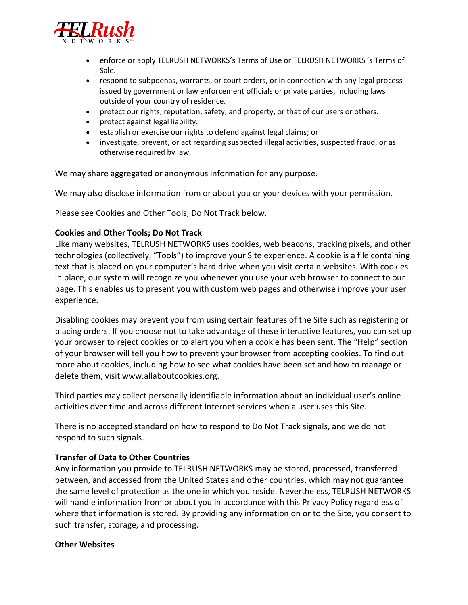

- enforce or apply TELRUSH NETWORKS's Terms of Use or TELRUSH NETWORKS 's Terms of Sale.
- respond to subpoenas, warrants, or court orders, or in connection with any legal process issued by government or law enforcement officials or private parties, including laws outside of your country of residence.
- protect our rights, reputation, safety, and property, or that of our users or others.
- protect against legal liability.
- establish or exercise our rights to defend against legal claims; or
- investigate, prevent, or act regarding suspected illegal activities, suspected fraud, or as otherwise required by law.

We may share aggregated or anonymous information for any purpose.

We may also disclose information from or about you or your devices with your permission.

Please see Cookies and Other Tools; Do Not Track below.

#### **Cookies and Other Tools; Do Not Track**

Like many websites, TELRUSH NETWORKS uses cookies, web beacons, tracking pixels, and other technologies (collectively, "Tools") to improve your Site experience. A cookie is a file containing text that is placed on your computer's hard drive when you visit certain websites. With cookies in place, our system will recognize you whenever you use your web browser to connect to our page. This enables us to present you with custom web pages and otherwise improve your user experience.

Disabling cookies may prevent you from using certain features of the Site such as registering or placing orders. If you choose not to take advantage of these interactive features, you can set up your browser to reject cookies or to alert you when a cookie has been sent. The "Help" section of your browser will tell you how to prevent your browser from accepting cookies. To find out more about cookies, including how to see what cookies have been set and how to manage or delete them, visit www.allaboutcookies.org.

Third parties may collect personally identifiable information about an individual user's online activities over time and across different Internet services when a user uses this Site.

There is no accepted standard on how to respond to Do Not Track signals, and we do not respond to such signals.

#### **Transfer of Data to Other Countries**

Any information you provide to TELRUSH NETWORKS may be stored, processed, transferred between, and accessed from the United States and other countries, which may not guarantee the same level of protection as the one in which you reside. Nevertheless, TELRUSH NETWORKS will handle information from or about you in accordance with this Privacy Policy regardless of where that information is stored. By providing any information on or to the Site, you consent to such transfer, storage, and processing.

#### **Other Websites**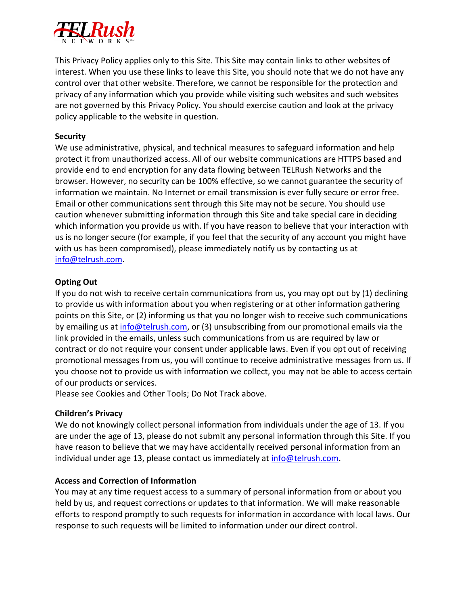

This Privacy Policy applies only to this Site. This Site may contain links to other websites of interest. When you use these links to leave this Site, you should note that we do not have any control over that other website. Therefore, we cannot be responsible for the protection and privacy of any information which you provide while visiting such websites and such websites are not governed by this Privacy Policy. You should exercise caution and look at the privacy policy applicable to the website in question.

## **Security**

We use administrative, physical, and technical measures to safeguard information and help protect it from unauthorized access. All of our website communications are HTTPS based and provide end to end encryption for any data flowing between TELRush Networks and the browser. However, no security can be 100% effective, so we cannot guarantee the security of information we maintain. No Internet or email transmission is ever fully secure or error free. Email or other communications sent through this Site may not be secure. You should use caution whenever submitting information through this Site and take special care in deciding which information you provide us with. If you have reason to believe that your interaction with us is no longer secure (for example, if you feel that the security of any account you might have with us has been compromised), please immediately notify us by contacting us at [info@telrush.com.](mailto:info@telrush.com)

# **Opting Out**

If you do not wish to receive certain communications from us, you may opt out by (1) declining to provide us with information about you when registering or at other information gathering points on this Site, or (2) informing us that you no longer wish to receive such communications by emailing us at [info@telrush.com,](mailto:info@telrush.com) or (3) unsubscribing from our promotional emails via the link provided in the emails, unless such communications from us are required by law or contract or do not require your consent under applicable laws. Even if you opt out of receiving promotional messages from us, you will continue to receive administrative messages from us. If you choose not to provide us with information we collect, you may not be able to access certain of our products or services.

Please see Cookies and Other Tools; Do Not Track above.

# **Children's Privacy**

We do not knowingly collect personal information from individuals under the age of 13. If you are under the age of 13, please do not submit any personal information through this Site. If you have reason to believe that we may have accidentally received personal information from an individual under age 13, please contact us immediately at [info@telrush.com.](mailto:info@telrush.com)

# **Access and Correction of Information**

You may at any time request access to a summary of personal information from or about you held by us, and request corrections or updates to that information. We will make reasonable efforts to respond promptly to such requests for information in accordance with local laws. Our response to such requests will be limited to information under our direct control.